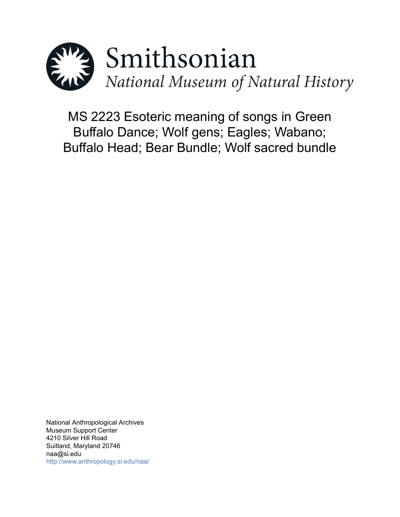

MS 2223 Esoteric meaning of songs in Green Buffalo Dance; Wolf gens; Eagles; Wabano; Buffalo Head; Bear Bundle; Wolf sacred bundle

National Anthropological Archives Museum Support Center 4210 Silver Hill Road Suitland, Maryland 20746 naa@si.edu <http://www.anthropology.si.edu/naa/>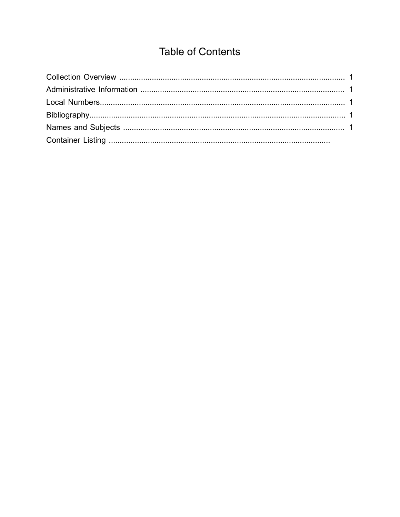# **Table of Contents**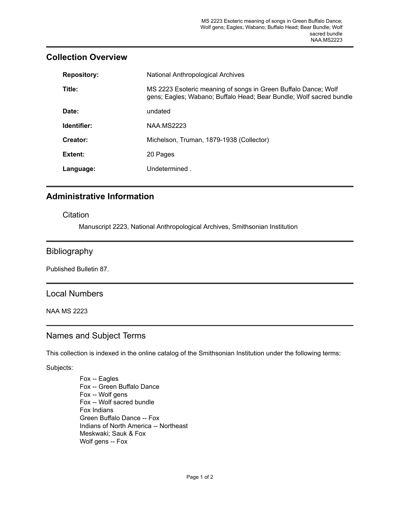| <b>Repository:</b> | National Anthropological Archives                                                                                                     |
|--------------------|---------------------------------------------------------------------------------------------------------------------------------------|
| Title:             | MS 2223 Esoteric meaning of songs in Green Buffalo Dance; Wolf<br>gens; Eagles; Wabano; Buffalo Head; Bear Bundle; Wolf sacred bundle |
| Date:              | undated                                                                                                                               |
| Identifier:        | <b>NAA.MS2223</b>                                                                                                                     |
| Creator:           | Michelson, Truman, 1879-1938 (Collector)                                                                                              |
| Extent:            | 20 Pages                                                                                                                              |
| Language:          | Undetermined.                                                                                                                         |
|                    |                                                                                                                                       |

## <span id="page-2-0"></span>**Collection Overview**

# <span id="page-2-1"></span>**Administrative Information**

#### **Citation**

Manuscript 2223, National Anthropological Archives, Smithsonian Institution

## <span id="page-2-3"></span>Bibliography

Published Bulletin 87.

### <span id="page-2-2"></span>Local Numbers

NAA MS 2223

# <span id="page-2-4"></span>Names and Subject Terms

This collection is indexed in the online catalog of the Smithsonian Institution under the following terms:

Subjects:

Fox -- Eagles Fox -- Green Buffalo Dance Fox -- Wolf gens Fox -- Wolf sacred bundle Fox Indians Green Buffalo Dance -- Fox Indians of North America -- Northeast Meskwaki; Sauk & Fox Wolf gens -- Fox